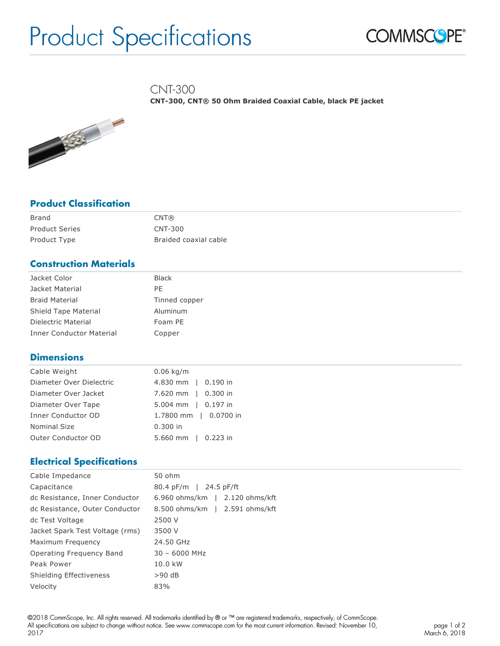# Product Specifications



CNT-300

**CNT-300, CNT® 50 Ohm Braided Coaxial Cable, black PE jacket**



# **Product Classification**

| Brand                 | CNT@                  |
|-----------------------|-----------------------|
| <b>Product Series</b> | <b>CNT-300</b>        |
| Product Type          | Braided coaxial cable |

# **Construction Materials**

| Jacket Color                    | <b>Black</b>  |
|---------------------------------|---------------|
| Jacket Material                 | PE            |
| <b>Braid Material</b>           | Tinned copper |
| Shield Tape Material            | Aluminum      |
| Dielectric Material             | Foam PE       |
| <b>Inner Conductor Material</b> | Copper        |

## **Dimensions**

| Cable Weight             | $0.06$ kg/m           |
|--------------------------|-----------------------|
| Diameter Over Dielectric | 4.830 mm   0.190 in   |
| Diameter Over Jacket     | 7.620 mm   0.300 in   |
| Diameter Over Tape       | 5.004 mm   0.197 in   |
| Inner Conductor OD       | 1.7800 mm   0.0700 in |
| <b>Nominal Size</b>      | $0.300$ in            |
| Outer Conductor OD       | 5.660 mm   0.223 in   |

## **Electrical Specifications**

| Cable Impedance                 | 50 ohm                         |
|---------------------------------|--------------------------------|
| Capacitance                     | 80.4 pF/m   24.5 pF/ft         |
| dc Resistance, Inner Conductor  | 6.960 ohms/km   2.120 ohms/kft |
| dc Resistance, Outer Conductor  | 8.500 ohms/km   2.591 ohms/kft |
| dc Test Voltage                 | 2500 V                         |
| Jacket Spark Test Voltage (rms) | 3500 V                         |
| Maximum Frequency               | 24.50 GHz                      |
| Operating Frequency Band        | $30 - 6000$ MHz                |
| Peak Power                      | 10.0 kW                        |
| Shielding Effectiveness         | $>90$ dB                       |
| Velocity                        | 83%                            |

©2018 CommScope, Inc. All rights reserved. All trademarks identified by ® or ™ are registered trademarks, respectively, of CommScope. All specifications are subject to change without notice. See www.commscope.com for the most current information. Revised: November 10, 2017